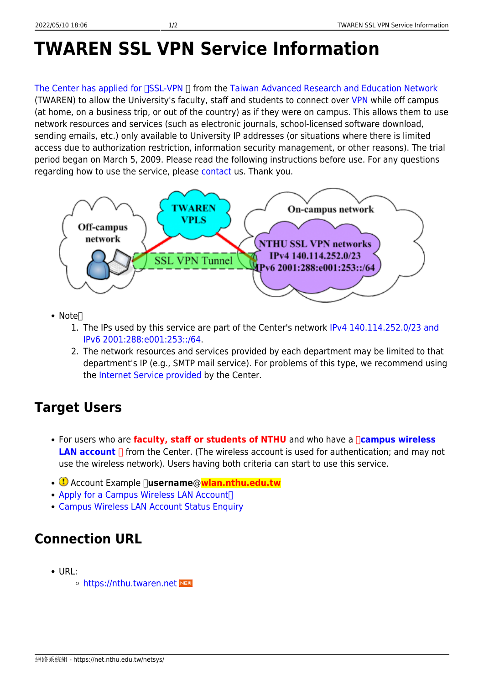# **TWAREN SSL VPN Service Information**

The Center has applied for [I[SSL-VPN](http://noc.twaren.net/noc_eng/index.php) | from the [Taiwan Advanced Research and Education Network](http://www.twaren.net/english/) (TWAREN) to allow the University's faculty, staff and students to connect over [VPN](https://en.wikipedia.org/wiki/Virtual_private_network) while off campus (at home, on a business trip, or out of the country) as if they were on campus. This allows them to use network resources and services (such as electronic journals, school-licensed software download, sending emails, etc.) only available to University IP addresses (or situations where there is limited access due to authorization restriction, information security management, or other reasons). The trial period began on March 5, 2009. Please read the following instructions before use. For any questions regarding how to use the service, please [contact](https://net.nthu.edu.tw/netsys/en:about:contact) us. Thank you.



- $\bullet$  Note $\Box$ 
	- 1. The IPs used by this service are part of the Center's network [IPv4 140.114.252.0/23 and](https://net.nthu.edu.tw/netsys/en:mailing:announcement:20200106_01) [IPv6 2001:288:e001:253::/64](https://net.nthu.edu.tw/netsys/en:mailing:announcement:20200106_01).
	- 2. The network resources and services provided by each department may be limited to that department's IP (e.g., SMTP mail service). For problems of this type, we recommend using the [Internet Service provided](https://net.nthu.edu.tw/netsys/en:service:server) by the Center.

## **Target Users**

- For users who are **faculty, staff or students of NTHU** and who have a **「[campus wireless](https://net.nthu.edu.tw/netsys/en:wireless:application) LAN account** ∏ from the Center. (The wireless account is used for authentication; and may not use the wireless network). Users having both criteria can start to use this service.
- **①** Account Example **[]username@wlan.nthu.edu.tw**
- [Apply for a Campus Wireless LAN Account](https://net.nthu.edu.tw/netsys/en:wireless:application#apply)
- [Campus Wireless LAN Account Status Enquiry](https://www.wlan.nthu.edu.tw/~wlan/cgi-bin/NM/MyAuthStatus.pl?lang=en)

## **Connection URL**

- URL:
	- o <https://nthu.twaren.net>